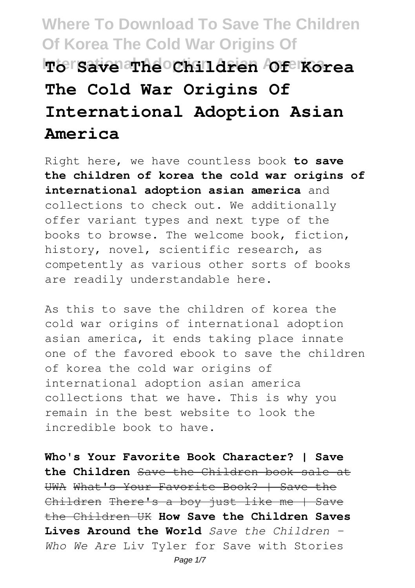# **Where To Download To Save The Children Of Korea The Cold War Origins Of International Adoption Aften American America The Cold War Origins Of International Adoption Asian America**

Right here, we have countless book **to save the children of korea the cold war origins of international adoption asian america** and collections to check out. We additionally offer variant types and next type of the books to browse. The welcome book, fiction, history, novel, scientific research, as competently as various other sorts of books are readily understandable here.

As this to save the children of korea the cold war origins of international adoption asian america, it ends taking place innate one of the favored ebook to save the children of korea the cold war origins of international adoption asian america collections that we have. This is why you remain in the best website to look the incredible book to have.

**Who's Your Favorite Book Character? | Save the Children** Save the Children book sale at UWA What's Your Favorite Book? | Save the Children There's a boy just like me | Save the Children UK **How Save the Children Saves Lives Around the World** *Save the Children - Who We Are* Liv Tyler for Save with Stories Page 1/7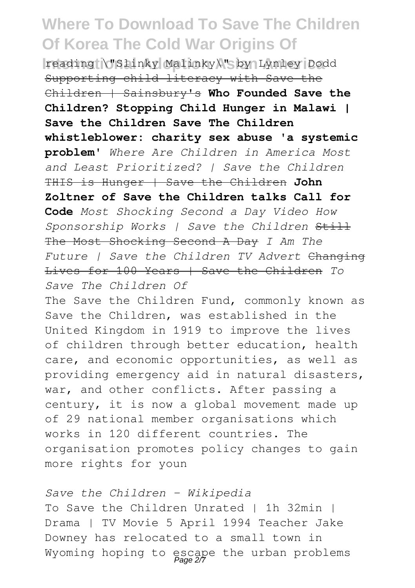**International Adoption Asian America** reading \"Slinky Malinky\" by Lynley Dodd Supporting child literacy with Save the Children | Sainsbury's **Who Founded Save the Children? Stopping Child Hunger in Malawi | Save the Children Save The Children whistleblower: charity sex abuse 'a systemic problem'** *Where Are Children in America Most and Least Prioritized? | Save the Children* THIS is Hunger | Save the Children **John Zoltner of Save the Children talks Call for Code** *Most Shocking Second a Day Video How Sponsorship Works | Save the Children* Still The Most Shocking Second A Day *I Am The Future | Save the Children TV Advert* Changing Lives for 100 Years | Save the Children *To Save The Children Of*

The Save the Children Fund, commonly known as Save the Children, was established in the United Kingdom in 1919 to improve the lives of children through better education, health care, and economic opportunities, as well as providing emergency aid in natural disasters, war, and other conflicts. After passing a century, it is now a global movement made up of 29 national member organisations which works in 120 different countries. The organisation promotes policy changes to gain more rights for youn

*Save the Children - Wikipedia* To Save the Children Unrated | 1h 32min | Drama | TV Movie 5 April 1994 Teacher Jake Downey has relocated to a small town in Wyoming hoping to escape the urban problems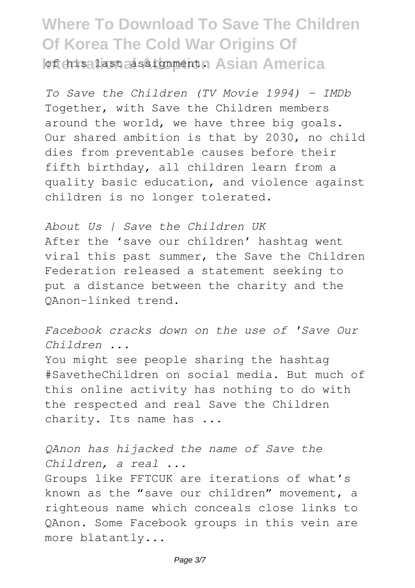**Where To Download To Save The Children Of Korea The Cold War Origins Of Iof his last assignments Asian America** 

*To Save the Children (TV Movie 1994) - IMDb* Together, with Save the Children members around the world, we have three big goals. Our shared ambition is that by 2030, no child dies from preventable causes before their fifth birthday, all children learn from a quality basic education, and violence against children is no longer tolerated.

*About Us | Save the Children UK* After the 'save our children' hashtag went viral this past summer, the Save the Children Federation released a statement seeking to put a distance between the charity and the QAnon-linked trend.

*Facebook cracks down on the use of 'Save Our Children ...*

You might see people sharing the hashtag #SavetheChildren on social media. But much of this online activity has nothing to do with the respected and real Save the Children charity. Its name has ...

*QAnon has hijacked the name of Save the Children, a real ...*

Groups like FFTCUK are iterations of what's known as the "save our children" movement, a righteous name which conceals close links to QAnon. Some Facebook groups in this vein are more blatantly...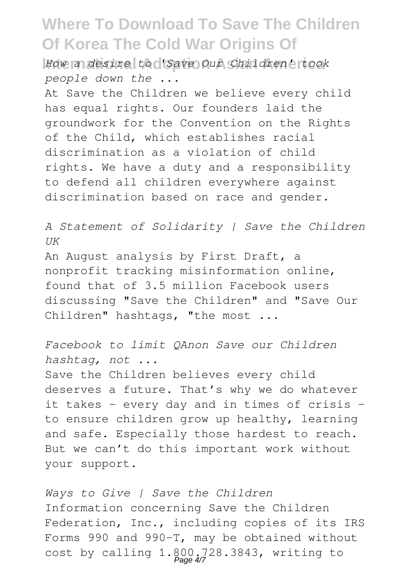**International Adoption Asian America** *How a desire to 'Save Our Children' took people down the ...*

At Save the Children we believe every child has equal rights. Our founders laid the groundwork for the Convention on the Rights of the Child, which establishes racial discrimination as a violation of child rights. We have a duty and a responsibility to defend all children everywhere against discrimination based on race and gender.

*A Statement of Solidarity | Save the Children UK* An August analysis by First Draft, a nonprofit tracking misinformation online, found that of 3.5 million Facebook users discussing "Save the Children" and "Save Our Children" hashtags, "the most ...

*Facebook to limit QAnon Save our Children hashtag, not ...* Save the Children believes every child deserves a future. That's why we do whatever it takes – every day and in times of crisis – to ensure children grow up healthy, learning and safe. Especially those hardest to reach. But we can't do this important work without your support.

*Ways to Give | Save the Children* Information concerning Save the Children Federation, Inc., including copies of its IRS Forms 990 and 990-T, may be obtained without cost by calling  $1.800.728.3843$ , writing to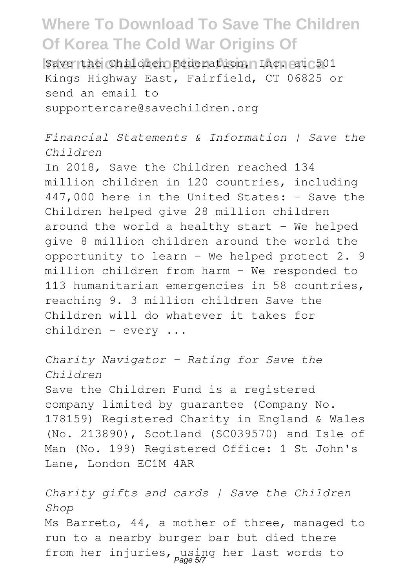**Internation Save the Children Federation, Inc. at 501** Kings Highway East, Fairfield, CT 06825 or send an email to supportercare@savechildren.org

*Financial Statements & Information | Save the Children*

In 2018, Save the Children reached 134 million children in 120 countries, including 447,000 here in the United States: - Save the Children helped give 28 million children around the world a healthy start  $-$  We helped give 8 million children around the world the opportunity to learn - We helped protect 2. 9 million children from harm - We responded to 113 humanitarian emergencies in 58 countries, reaching 9. 3 million children Save the Children will do whatever it takes for children - every ...

*Charity Navigator - Rating for Save the Children* Save the Children Fund is a registered company limited by guarantee (Company No. 178159) Registered Charity in England & Wales (No. 213890), Scotland (SC039570) and Isle of Man (No. 199) Registered Office: 1 St John's Lane, London EC1M 4AR

*Charity gifts and cards | Save the Children Shop* Ms Barreto, 44, a mother of three, managed to run to a nearby burger bar but died there from her injuries, using her last words to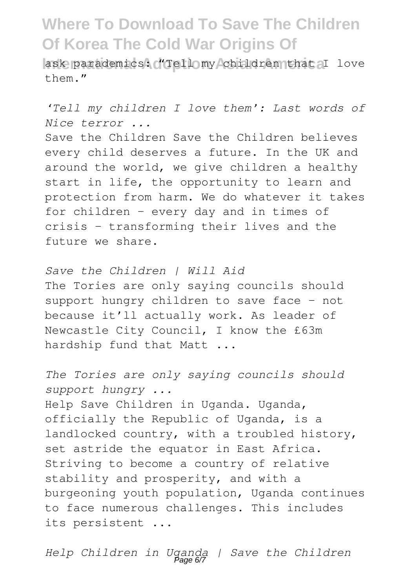ask parademics: "Tellomy children that I love  $them$  "

*'Tell my children I love them': Last words of Nice terror ...*

Save the Children Save the Children believes every child deserves a future. In the UK and around the world, we give children a healthy start in life, the opportunity to learn and protection from harm. We do whatever it takes for children – every day and in times of crisis – transforming their lives and the future we share.

*Save the Children | Will Aid* The Tories are only saying councils should support hungry children to save face – not because it'll actually work. As leader of Newcastle City Council, I know the £63m hardship fund that Matt ...

*The Tories are only saying councils should support hungry ...* Help Save Children in Uganda. Uganda, officially the Republic of Uganda, is a landlocked country, with a troubled history, set astride the equator in East Africa. Striving to become a country of relative stability and prosperity, and with a burgeoning youth population, Uganda continues to face numerous challenges. This includes its persistent ...

*Help Children in Uganda | Save the Children* Page 6/7